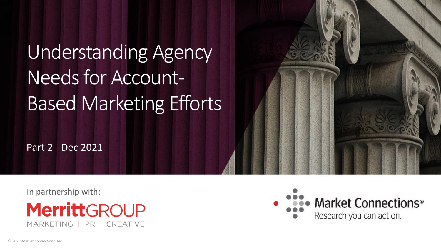# Understanding Agency Needs for Account-Based Marketing Efforts

Part 2 - Dec 2021

In partnership with:



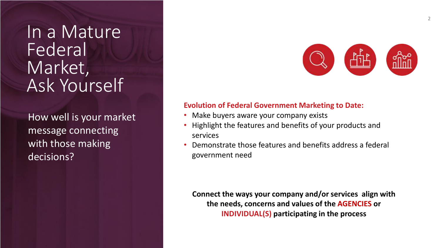In a Mature **Federal** Market, Ask Yourself

message connecting and the mass of the mass of the mass of the mass of the mass of the mass of the mass of the How well is your market with those making decisions?



### **Evolution of Federal Government Marketing to Date:**

- Make buyers aware your company exists
- Highlight the features and benefits of your products and services
- Demonstrate those features and benefits address a federal government need

**Connect the ways your company and/or services align with the needs, concerns and values of the AGENCIES or INDIVIDUAL(S) participating in the process**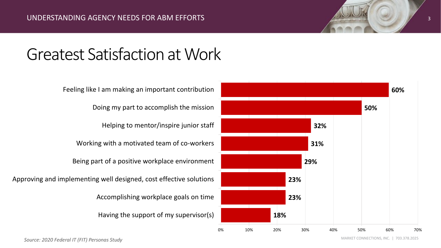# Greatest Satisfaction at Work



*Source: 2020 Federal IT (FIT) Personas Study*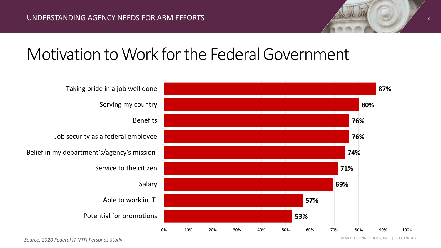# Motivation to Work for the Federal Government



*Source: 2020 Federal IT (FIT) Personas Study*

MARKET CONNECTIONS, INC. | 703.378.2025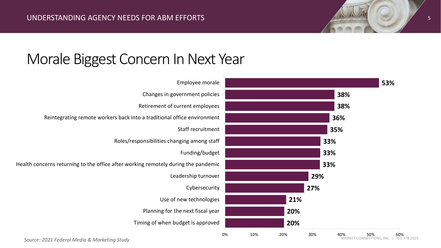

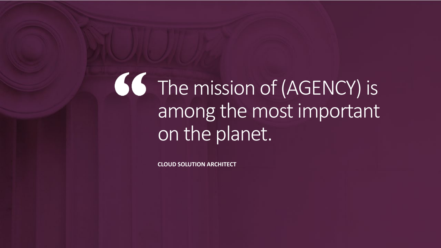The mission of (AGENCY) is among the most important on the planet.

**CLOUD SOLUTION ARCHITECT**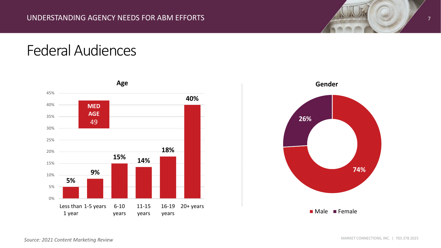





*Source: 2021 Content Marketing Review*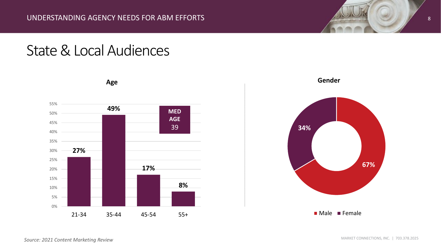# State & Local Audiences



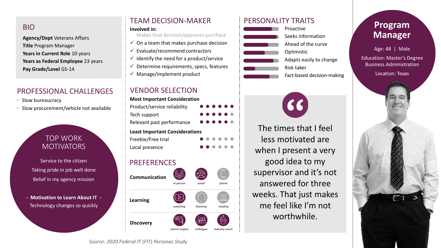### BIO

**Agency/Dept** Veterans Affairs **Title** Program Manager **Years in Current Role** 10 years **Years as Federal Employee** 23 years **Pay Grade/Level** GS-14

### PROFESSIONAL CHALLENGES

- Slow bureaucracy
- Slow procurement/vehicle not available

## TOP WORK **MOTIVATORS**

Service to the citizen Taking pride in job well done Belief in my agency mission

**- Motivation to Learn About IT -** Technology changes so quickly

# TEAM DECISION-MAKER PERSONALITY TRAITS

Makes final decision/approves purchase

- $\checkmark$  On a team that makes purchase decision
- $\checkmark$  Evaluate/recommend contractors
- $\checkmark$  Identify the need for a product/service
- $\checkmark$  Determine requirements, specs, features
- $\checkmark$  Manage/implement product

### VENDOR SELECTION

**Most Important Consideration**

| Product/service reliability           | $- - - - - -$                                |
|---------------------------------------|----------------------------------------------|
| Tech support                          | $\bullet\bullet\bullet\bullet\bullet\bullet$ |
| Relevant past performance             | $\bullet\bullet\bullet\bullet\bullet\bullet$ |
| <b>Least Important Considerations</b> |                                              |

**Freebie/Free trial** 

**Local presence** 

## PREFERENCES





*search engine colleague industry event*

闼

*reading*

日目







The times that I feel less motivated are when I present a very good idea to my supervisor and it's not answered for three weeks. That just makes me feel like I'm not worthwhile.

# **Program Manager**

Age: 48 | Male

Education: Master's Degree Business Administration

Location: Texas



*Source: 2020 Federal IT (FIT) Personas Study*

**Learning**

**Discovery**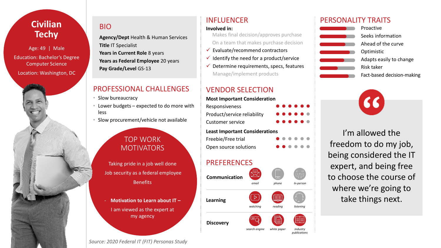# **Civilian Techy**

Age: 49 | Male Education: Bachelor's Degree Computer Science Location: Washington, DC



### BIO

**Agency/Dept** Health & Human Services **Title** IT Specialist **Years in Current Role** 8 years **Years as Federal Employee** 20 years **Pay Grade/Level** GS-13

### PROFESSIONAL CHALLENGES

- Slow bureaucracy
- Lower budgets expected to do more with less
- Slow procurement/vehicle not available

## TOP WORK MOTIVATORS

Taking pride in a job well done Job security as a federal employee **Benefits** 

- **Motivation to Learn about IT –** I am viewed as the expert at my agency

*Source: 2020 Federal IT (FIT) Personas Study*

 Makes final decision/approves purchase On a team that makes purchase decision

- $\checkmark$  Evaluate/recommend contractors
- $\checkmark$  Identify the need for a product/service
- $\checkmark$  Determine requirements, specs, features Manage/implement products

## VENDOR SELECTION

**Most Important Consideration Responsiveness Product/service reliability Customer service Least Important Considerations Freebie/Free trial Open source solutions** 

### PREFERENCES



### INFLUENCER PERSONALITY TRAITS



Seeks information Ahead of the curve Adapts easily to change Fact-based decision-making



I'm allowed the freedom to do my job, being considered the IT expert, and being free to choose the course of where we're going to take things next.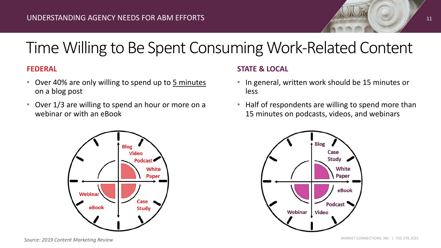

### **FEDERAL**

- Over 40% are only willing to spend up to 5 minutes on a blog post
- Over 1/3 are willing to spend an hour or more on a webinar or with an eBook



### **STATE & LOCAL**

- In general, written work should be 15 minutes or less
- Half of respondents are willing to spend more than 15 minutes on podcasts, videos, and webinars



11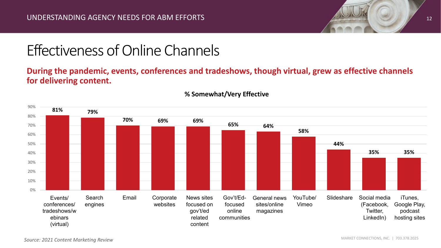

# Effectiveness of Online Channels

# **During the pandemic, events, conferences and tradeshows, though virtual, grew as effective channels for delivering content.**



### **% Somewhat/Very Effective**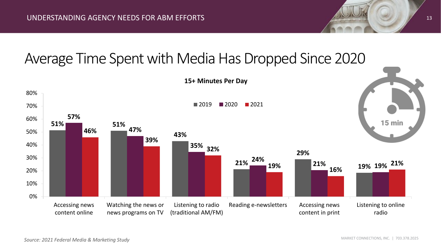# Average Time Spent with Media Has Dropped Since 2020

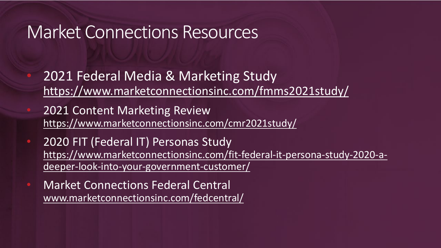# Market Connections Resources

- 2021 Federal Media & Marketing Study https://www.marketconnectionsinc.com/fmms2021study/
- 2021 Content Marketing Review https://www.marketconnectionsinc.com/cmr2021study/
- 2020 FIT (Federal IT) Personas Study https://www.marketconnectionsinc.com/fit-federal-it-persona-study-2020-adeeper-look-into-your-government-customer/
- Market Connections Federal Central www.marketconnectionsinc.com/fedcentral/